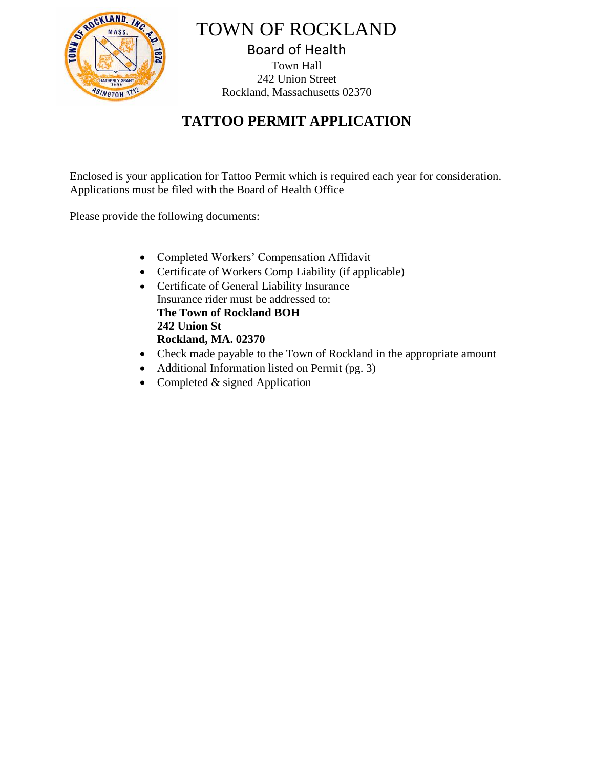

TOWN OF ROCKLAND Board of Health

Town Hall 242 Union Street Rockland, Massachusetts 02370

## **TATTOO PERMIT APPLICATION**

Enclosed is your application for Tattoo Permit which is required each year for consideration. Applications must be filed with the Board of Health Office

Please provide the following documents:

- Completed Workers' Compensation Affidavit
- Certificate of Workers Comp Liability (if applicable)
- Certificate of General Liability Insurance Insurance rider must be addressed to: **The Town of Rockland BOH 242 Union St Rockland, MA. 02370**
- Check made payable to the Town of Rockland in the appropriate amount
- Additional Information listed on Permit (pg. 3)
- Completed  $&$  signed Application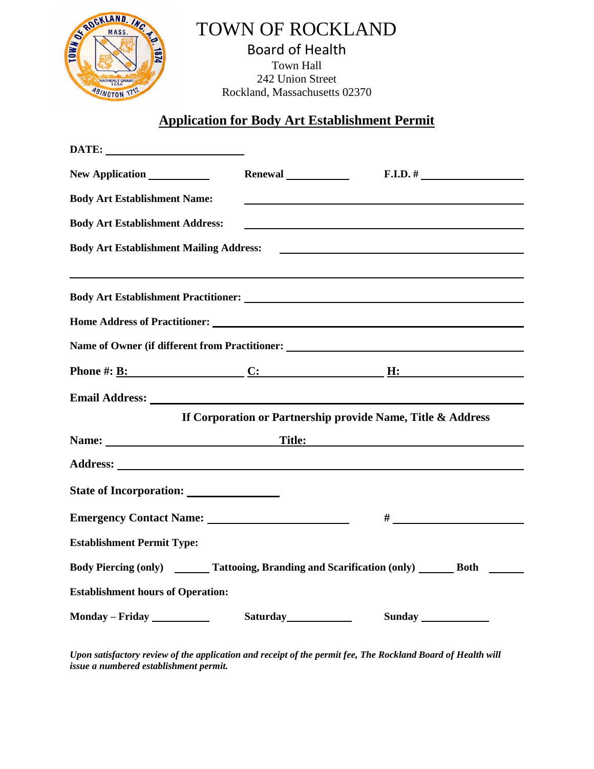

# TOWN OF ROCKLAND

Board of Health Town Hall 242 Union Street Rockland, Massachusetts 02370

#### **Application for Body Art Establishment Permit**

| New Application _____________                                                                                                                                                                                                  | Renewal <u>and</u>                                          | $F.I.D.$ #                           |
|--------------------------------------------------------------------------------------------------------------------------------------------------------------------------------------------------------------------------------|-------------------------------------------------------------|--------------------------------------|
| <b>Body Art Establishment Name:</b>                                                                                                                                                                                            |                                                             |                                      |
| <b>Body Art Establishment Address:</b>                                                                                                                                                                                         |                                                             |                                      |
| <b>Body Art Establishment Mailing Address:</b>                                                                                                                                                                                 |                                                             | <u> Andrew American State (1989)</u> |
|                                                                                                                                                                                                                                |                                                             |                                      |
|                                                                                                                                                                                                                                |                                                             |                                      |
| Name of Owner (if different from Practitioner: __________________________________                                                                                                                                              |                                                             |                                      |
| Phone #: $\underline{B}$ : $\underline{C}$ : $\underline{H}$ :                                                                                                                                                                 |                                                             |                                      |
| Email Address: No. 1996. The Contract of the Contract of the Contract of the Contract of the Contract of the Contract of the Contract of the Contract of the Contract of the Contract of the Contract of the Contract of the C |                                                             |                                      |
|                                                                                                                                                                                                                                | If Corporation or Partnership provide Name, Title & Address |                                      |
| Name: Title:                                                                                                                                                                                                                   |                                                             |                                      |
|                                                                                                                                                                                                                                |                                                             |                                      |
|                                                                                                                                                                                                                                |                                                             |                                      |
|                                                                                                                                                                                                                                |                                                             |                                      |
| <b>Establishment Permit Type:</b>                                                                                                                                                                                              |                                                             |                                      |
| Body Piercing (only) Tattooing, Branding and Scarification (only) Both                                                                                                                                                         |                                                             |                                      |
| <b>Establishment hours of Operation:</b>                                                                                                                                                                                       |                                                             |                                      |
| Monday - Friday                                                                                                                                                                                                                | Saturday 1994                                               | Sunday                               |

*Upon satisfactory review of the application and receipt of the permit fee, The Rockland Board of Health will issue a numbered establishment permit.*